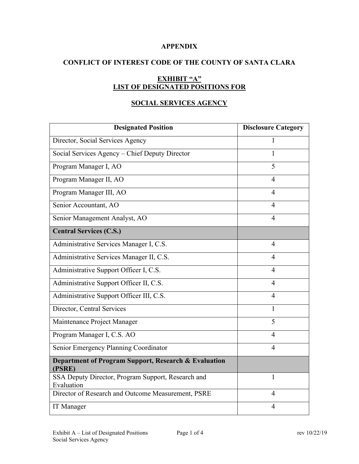### **APPENDIX**

## **CONFLICT OF INTEREST CODE OF THE COUNTY OF SANTA CLARA**

# **EXHIBIT "A" LIST OF DESIGNATED POSITIONS FOR**

## **SOCIAL SERVICES AGENCY**

| <b>Designated Position</b>                                       | <b>Disclosure Category</b> |
|------------------------------------------------------------------|----------------------------|
| Director, Social Services Agency                                 | 1                          |
| Social Services Agency – Chief Deputy Director                   | 1                          |
| Program Manager I, AO                                            | 5                          |
| Program Manager II, AO                                           | $\overline{4}$             |
| Program Manager III, AO                                          | $\overline{4}$             |
| Senior Accountant, AO                                            | $\overline{4}$             |
| Senior Management Analyst, AO                                    | 4                          |
| <b>Central Services (C.S.)</b>                                   |                            |
| Administrative Services Manager I, C.S.                          | $\overline{4}$             |
| Administrative Services Manager II, C.S.                         | $\overline{4}$             |
| Administrative Support Officer I, C.S.                           | $\overline{4}$             |
| Administrative Support Officer II, C.S.                          | $\overline{4}$             |
| Administrative Support Officer III, C.S.                         | $\overline{4}$             |
| Director, Central Services                                       | 1                          |
| Maintenance Project Manager                                      | 5                          |
| Program Manager I, C.S. AO                                       | $\overline{4}$             |
| Senior Emergency Planning Coordinator                            | $\overline{4}$             |
| Department of Program Support, Research & Evaluation<br>(PSRE)   |                            |
| SSA Deputy Director, Program Support, Research and<br>Evaluation | 1                          |
| Director of Research and Outcome Measurement, PSRE               | $\overline{4}$             |
| <b>IT</b> Manager                                                | $\overline{4}$             |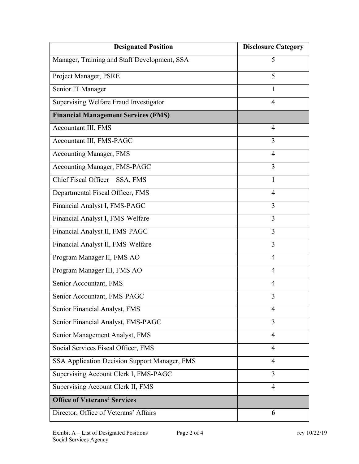| <b>Designated Position</b>                    | <b>Disclosure Category</b> |
|-----------------------------------------------|----------------------------|
| Manager, Training and Staff Development, SSA  | 5                          |
| Project Manager, PSRE                         | 5                          |
| Senior IT Manager                             | 1                          |
| Supervising Welfare Fraud Investigator        | 4                          |
| <b>Financial Management Services (FMS)</b>    |                            |
| Accountant III, FMS                           | 4                          |
| Accountant III, FMS-PAGC                      | 3                          |
| <b>Accounting Manager, FMS</b>                | $\overline{4}$             |
| Accounting Manager, FMS-PAGC                  | 3                          |
| Chief Fiscal Officer - SSA, FMS               | 1                          |
| Departmental Fiscal Officer, FMS              | $\overline{4}$             |
| Financial Analyst I, FMS-PAGC                 | 3                          |
| Financial Analyst I, FMS-Welfare              | 3                          |
| Financial Analyst II, FMS-PAGC                | 3                          |
| Financial Analyst II, FMS-Welfare             | 3                          |
| Program Manager II, FMS AO                    | 4                          |
| Program Manager III, FMS AO                   | 4                          |
| Senior Accountant, FMS                        | 4                          |
| Senior Accountant, FMS-PAGC                   | 3                          |
| Senior Financial Analyst, FMS                 | 4                          |
| Senior Financial Analyst, FMS-PAGC            | 3                          |
| Senior Management Analyst, FMS                | 4                          |
| Social Services Fiscal Officer, FMS           | 4                          |
| SSA Application Decision Support Manager, FMS | $\overline{4}$             |
| Supervising Account Clerk I, FMS-PAGC         | 3                          |
| Supervising Account Clerk II, FMS             | $\overline{4}$             |
| <b>Office of Veterans' Services</b>           |                            |
| Director, Office of Veterans' Affairs         | 6                          |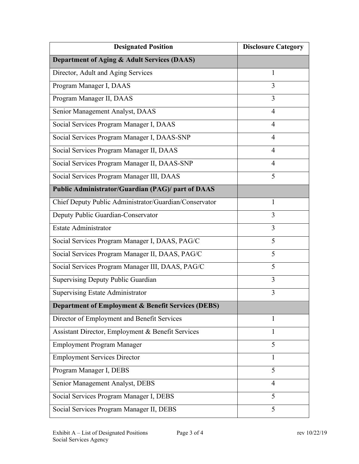| <b>Designated Position</b>                             | <b>Disclosure Category</b> |
|--------------------------------------------------------|----------------------------|
| Department of Aging & Adult Services (DAAS)            |                            |
| Director, Adult and Aging Services                     | $\mathbf{1}$               |
| Program Manager I, DAAS                                | 3                          |
| Program Manager II, DAAS                               | 3                          |
| Senior Management Analyst, DAAS                        | $\overline{4}$             |
| Social Services Program Manager I, DAAS                | 4                          |
| Social Services Program Manager I, DAAS-SNP            | 4                          |
| Social Services Program Manager II, DAAS               | 4                          |
| Social Services Program Manager II, DAAS-SNP           | 4                          |
| Social Services Program Manager III, DAAS              | 5                          |
| Public Administrator/Guardian (PAG)/ part of DAAS      |                            |
| Chief Deputy Public Administrator/Guardian/Conservator | 1                          |
| Deputy Public Guardian-Conservator                     | 3                          |
| <b>Estate Administrator</b>                            | 3                          |
| Social Services Program Manager I, DAAS, PAG/C         | 5                          |
| Social Services Program Manager II, DAAS, PAG/C        | 5                          |
| Social Services Program Manager III, DAAS, PAG/C       | 5                          |
| Supervising Deputy Public Guardian                     | 3                          |
| <b>Supervising Estate Administrator</b>                | 3                          |
| Department of Employment & Benefit Services (DEBS)     |                            |
| Director of Employment and Benefit Services            | 1                          |
| Assistant Director, Employment & Benefit Services      | 1                          |
| <b>Employment Program Manager</b>                      | 5                          |
| <b>Employment Services Director</b>                    | $\mathbf{1}$               |
| Program Manager I, DEBS                                | 5                          |
| Senior Management Analyst, DEBS                        | 4                          |
| Social Services Program Manager I, DEBS                | 5                          |
| Social Services Program Manager II, DEBS               | 5                          |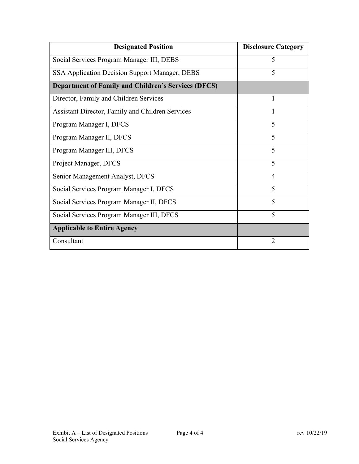| <b>Designated Position</b>                                 | <b>Disclosure Category</b> |
|------------------------------------------------------------|----------------------------|
| Social Services Program Manager III, DEBS                  | 5                          |
| SSA Application Decision Support Manager, DEBS             | 5                          |
| <b>Department of Family and Children's Services (DFCS)</b> |                            |
| Director, Family and Children Services                     | 1                          |
| Assistant Director, Family and Children Services           |                            |
| Program Manager I, DFCS                                    | 5                          |
| Program Manager II, DFCS                                   | 5                          |
| Program Manager III, DFCS                                  | 5                          |
| Project Manager, DFCS                                      | 5                          |
| Senior Management Analyst, DFCS                            | 4                          |
| Social Services Program Manager I, DFCS                    | 5                          |
| Social Services Program Manager II, DFCS                   | 5                          |
| Social Services Program Manager III, DFCS                  | 5                          |
| <b>Applicable to Entire Agency</b>                         |                            |
| Consultant                                                 | $\overline{2}$             |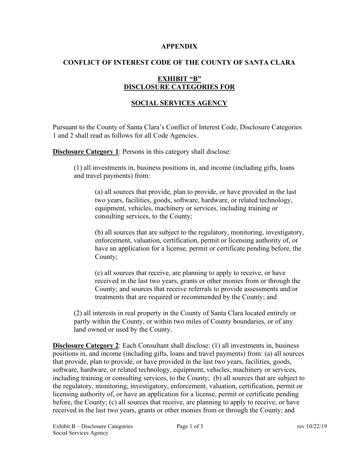#### **APPENDIX**

### **CONFLICT OF INTEREST CODE OF THE COUNTY OF SANTA CLARA**

## **EXHIBIT "B" DISCLOSURE CATEGORIES FOR**

### **SOCIAL SERVICES AGENCY**

Pursuant to the County of Santa Clara's Conflict of Interest Code, Disclosure Categories 1 and 2 shall read as follows for all Code Agencies.

**Disclosure Category 1:** Persons in this category shall disclose:

(1) all investments in, business positions in, and income (including gifts, loans and travel payments) from:

(a) all sources that provide, plan to provide, or have provided in the last two years, facilities, goods, software, hardware, or related technology, equipment, vehicles, machinery or services, including training or consulting services, to the County;

(b) all sources that are subject to the regulatory, monitoring, investigatory, enforcement, valuation, certification, permit or licensing authority of, or have an application for a license, permit or certificate pending before, the County;

(c) all sources that receive, are planning to apply to receive, or have received in the last two years, grants or other monies from or through the County; and sources that receive referrals to provide assessments and/or treatments that are required or recommended by the County; and

(2) all interests in real property in the County of Santa Clara located entirely or partly within the County, or within two miles of County boundaries, or of any land owned or used by the County.

**Disclosure Category 2**: Each Consultant shall disclose: (1) all investments in, business positions in, and income (including gifts, loans and travel payments) from: (a) all sources that provide, plan to provide, or have provided in the last two years, facilities, goods, software, hardware, or related technology, equipment, vehicles, machinery or services, including training or consulting services, to the County; (b) all sources that are subject to the regulatory, monitoring, investigatory, enforcement, valuation, certification, permit or licensing authority of, or have an application for a license, permit or certificate pending before, the County; (c) all sources that receive, are planning to apply to receive, or have received in the last two years, grants or other monies from or through the County; and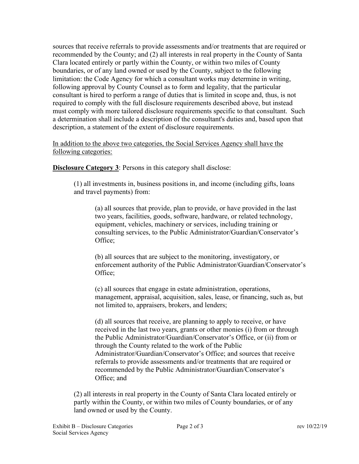sources that receive referrals to provide assessments and/or treatments that are required or recommended by the County; and (2) all interests in real property in the County of Santa Clara located entirely or partly within the County, or within two miles of County boundaries, or of any land owned or used by the County, subject to the following limitation: the Code Agency for which a consultant works may determine in writing, following approval by County Counsel as to form and legality, that the particular consultant is hired to perform a range of duties that is limited in scope and, thus, is not required to comply with the full disclosure requirements described above, but instead must comply with more tailored disclosure requirements specific to that consultant. Such a determination shall include a description of the consultant's duties and, based upon that description, a statement of the extent of disclosure requirements.

In addition to the above two categories, the Social Services Agency shall have the following categories:

**Disclosure Category 3**: Persons in this category shall disclose:

(1) all investments in, business positions in, and income (including gifts, loans and travel payments) from:

(a) all sources that provide, plan to provide, or have provided in the last two years, facilities, goods, software, hardware, or related technology, equipment, vehicles, machinery or services, including training or consulting services, to the Public Administrator/Guardian/Conservator's Office;

(b) all sources that are subject to the monitoring, investigatory, or enforcement authority of the Public Administrator/Guardian/Conservator's Office;

(c) all sources that engage in estate administration, operations, management, appraisal, acquisition, sales, lease, or financing, such as, but not limited to, appraisers, brokers, and lenders;

(d) all sources that receive, are planning to apply to receive, or have received in the last two years, grants or other monies (i) from or through the Public Administrator/Guardian/Conservator's Office, or (ii) from or through the County related to the work of the Public Administrator/Guardian/Conservator's Office; and sources that receive referrals to provide assessments and/or treatments that are required or recommended by the Public Administrator/Guardian/Conservator's Office; and

(2) all interests in real property in the County of Santa Clara located entirely or partly within the County, or within two miles of County boundaries, or of any land owned or used by the County.